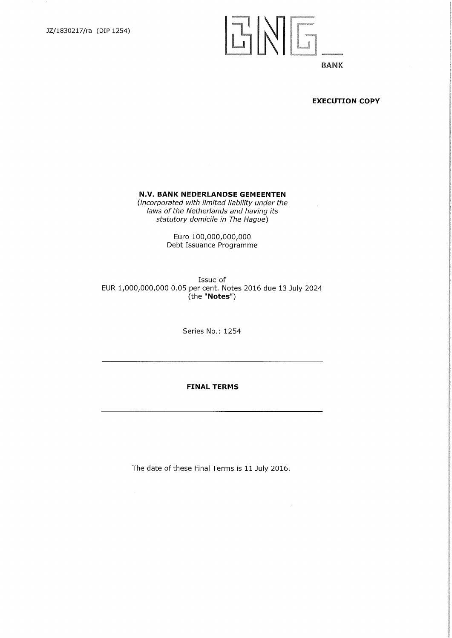

#### **EXECUTION COPY**

#### **N.V. BANK NEDERLANDSE GEMEENTEN**

*(incorporated with limited liability under the laws of the Netherlands and having its statutory domicile in The Hague)* 

> Euro 100,000,000,000 Debt Issuance Programme

Issue of EUR 1,000,000,000 0.05 per cent. Notes 2016 due 13 July 2024 (the "Notes")

Series No.: 1254

## **FINAL TERMS**

The date of these Final Terms is 11 July 2016.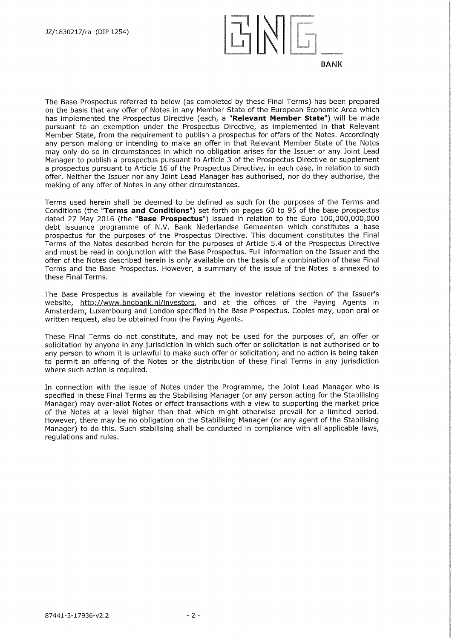

The Base Prospectus referred to below (as completed by these Final Terms) has been prepared on the basis that any offer of Notes in any Member State of the European Economic Area which has implemented the Prospectus Directive (each, a "Relevant **Member State")** will be made pursuant to an exemption under the Prospectus Directive, as implemented in that Relevant Member State, from the requirement to publish a prospectus for offers of the Notes. Accordingly any person making or intending to make an offer in that Relevant Member State of the Notes may only do so in circumstances in which no obligation arises for the Issuer or any Joint Lead Manager to publish a prospectus pursuant to Article 3 of the Prospectus Directive or supplement a prospectus pursuant to Article 16 of the Prospectus Directive, in each case, in relation to such offer. Neither the Issuer nor any Joint Lead Manager has authorised, nor do they authorise, the making of any offer of Notes in any other circumstances.

Terms used herein shall be deemed to be defined as such for the purposes of the Terms and Conditions (the **"Terms and Conditions")** set forth on pages 60 to 95 of the base prospectus dated 27 May 2016 (the **"Base Prospectus")** issued in relation to the Euro 100,000,000,000 debt issuance programme of N.V. Bank Nederlandse Gemeenten which constitutes a base prospectus for the purposes of the Prospectus Directive. This document constitutes the Final Terms of the Notes described herein for the purposes of Article 5.4 of the Prospectus Directive and must be read in conjunction with the Base Prospectus. Full information on the Issuer and the offer of the Notes described herein is only available on the basis of a combination of these Final Terms and the Base Prospectus. However, a summary of the issue of the Notes is annexed to these Final Terms.

The Base Prospectus is available for viewing at the investor relations section of the Issuer's website, http://www.bngbank.nl/investors, and at the offices of the Paying Agents in Amsterdam, Luxembourg and London specified in the Base Prospectus. Copies may, upon oral or written request, also be obtained from the Paying Agents.

These Final Terms do not constitute, and may not be used for the purposes of, an offer or solicitation by anyone in any jurisdiction in which such offer or solicitation is not authorised or to any person to whom it is unlawful to make such offer or solicitation; and no action is being taken to permit an offering of the Notes or the distribution of these Final Terms in any jurisdiction where such action is required.

In connection with the issue of Notes under the Programme, the Joint Lead Manager who is specified in these Final Terms as the Stabilising Manager (or any person acting for the Stabilising Manager) may over-allot Notes or effect transactions with a view to supporting the market price of the Notes at a level higher than that which might otherwise prevail for a limited period. However, there may be no obligation on the Stabilising Manager (or any agent of the Stabilising Manager) to do this. Such stabilising shall be conducted in compliance with all applicable laws, regulations and rules.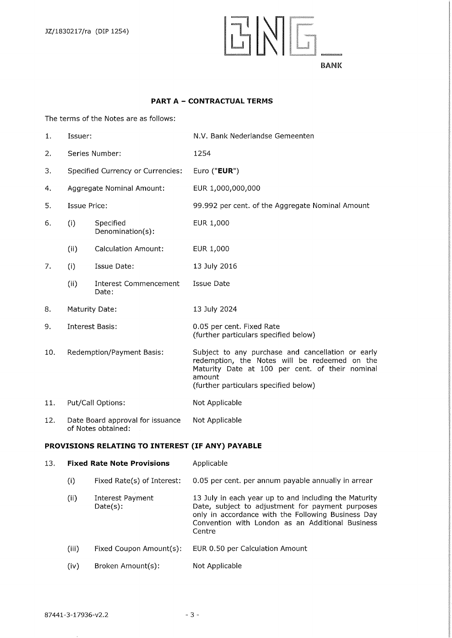

#### **PART A — CONTRACTUAL TERMS**

The terms of the Notes are as follows:

| 1.  | Issuer:                                                |                                          | N.V. Bank Nederlandse Gemeenten                                                                                                                                                                          |  |  |
|-----|--------------------------------------------------------|------------------------------------------|----------------------------------------------------------------------------------------------------------------------------------------------------------------------------------------------------------|--|--|
| 2.  | Series Number:                                         |                                          | 1254                                                                                                                                                                                                     |  |  |
| 3.  |                                                        | <b>Specified Currency or Currencies:</b> | Euro ("EUR")                                                                                                                                                                                             |  |  |
| 4.  |                                                        | Aggregate Nominal Amount:                | EUR 1,000,000,000                                                                                                                                                                                        |  |  |
| 5.  | Issue Price:                                           |                                          | 99.992 per cent. of the Aggregate Nominal Amount                                                                                                                                                         |  |  |
| 6.  | (i)                                                    | Specified<br>Denomination(s):            | EUR 1,000                                                                                                                                                                                                |  |  |
|     | (ii)                                                   | <b>Calculation Amount:</b>               | EUR 1,000                                                                                                                                                                                                |  |  |
| 7.  | (i)                                                    | Issue Date:                              | 13 July 2016                                                                                                                                                                                             |  |  |
|     | (ii)                                                   | <b>Interest Commencement</b><br>Date:    | Issue Date                                                                                                                                                                                               |  |  |
| 8.  |                                                        | Maturity Date:                           | 13 July 2024                                                                                                                                                                                             |  |  |
| 9.  | <b>Interest Basis:</b>                                 |                                          | 0.05 per cent. Fixed Rate<br>(further particulars specified below)                                                                                                                                       |  |  |
| 10. | Redemption/Payment Basis:                              |                                          | Subject to any purchase and cancellation or early<br>redemption, the Notes will be redeemed on the<br>Maturity Date at 100 per cent. of their nominal<br>amount<br>(further particulars specified below) |  |  |
| 11. | Put/Call Options:                                      |                                          | Not Applicable                                                                                                                                                                                           |  |  |
| 12. | Date Board approval for issuance<br>of Notes obtained: |                                          | Not Applicable                                                                                                                                                                                           |  |  |
|     | PROVISIONS RELATING TO INTEREST (IF ANY) PAYABLE       |                                          |                                                                                                                                                                                                          |  |  |
| 13. | <b>Fixed Rate Note Provisions</b>                      |                                          | Applicable                                                                                                                                                                                               |  |  |

- (i) Fixed Rate(s) of Interest: 0.05 per cent. per annum payable annually in arrear (ii) Interest Payment 13 July in each year up to and including the Maturity<br>Date(s): Date, subject to adjustment for payment purposes Date(s): Date, subject to adjustment for payment purposes only in accordance with the Following Business Day Convention with London as an Additional Business Centre
- (iii) Fixed Coupon Amount(s): EUR 0.50 per Calculation Amount
- (iv) Broken Amount(s): Not Applicable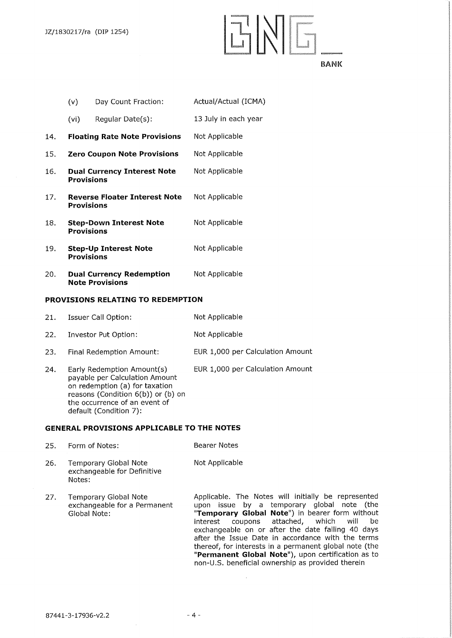HNI 91E.M.62,1 **BANK** 

(v) Day Count Fraction: Actual/Actual (ICMA) (vi) Regular Date(s): 13 July in each year 14. **Floating Rate Note Provisions** Not Applicable 15. **Zero Coupon Note Provisions** Not Applicable 16. **Dual Currency Interest Note** Not Applicable **Provisions**  17. **Reverse Floater Interest Note** Not Applicable **Provisions**  18. **Step-Down Interest Note** Not Applicable **Provisions**  19. **Step-Up Interest Note Not Applicable Provisions**  20. **Dual Currency Redemption** Not Applicable

**Note Provisions** 

#### **PROVISIONS RELATING TO REDEMPTION**

| 21. | Issuer Call Option: | Not Applicable |
|-----|---------------------|----------------|
|     |                     |                |

| 22 | Investor Put Option: | Not Applicable |
|----|----------------------|----------------|
|----|----------------------|----------------|

- EUR 1,000 per Calculation Amount 23. Final Redemption Amount:
- EUR 1,000 per Calculation Amount 24. Early Redemption Amount(s) payable per Calculation Amount on redemption (a) for taxation reasons (Condition 6(b)) or (b) on the occurrence of an event of default (Condition 7):

#### **GENERAL PROVISIONS APPLICABLE TO THE NOTES**

| 25. | Form of Notes:                                                        | <b>Bearer Notes</b>                                                                                                                                                                                                                                                                                                                                                                                                                                                                      |
|-----|-----------------------------------------------------------------------|------------------------------------------------------------------------------------------------------------------------------------------------------------------------------------------------------------------------------------------------------------------------------------------------------------------------------------------------------------------------------------------------------------------------------------------------------------------------------------------|
| 26. | <b>Temporary Global Note</b><br>exchangeable for Definitive<br>Notes: | Not Applicable                                                                                                                                                                                                                                                                                                                                                                                                                                                                           |
| 27. | Temporary Global Note<br>exchangeable for a Permanent<br>Global Note: | Applicable. The Notes will initially be represented<br>upon issue by a temporary global note (the<br>"Temporary Global Note") in bearer form without<br>coupons attached, which<br>will<br>be<br>interest<br>exchangeable on or after the date falling 40 days<br>after the Issue Date in accordance with the terms<br>thereof, for interests in a permanent global note (the<br>"Permanent Global Note"), upon certification as to<br>non-U.S. beneficial ownership as provided therein |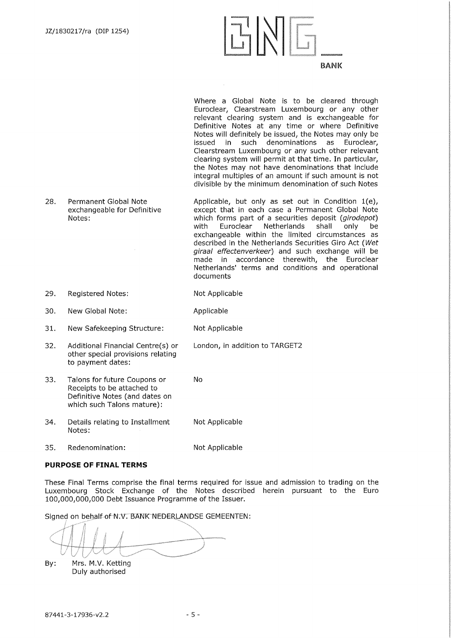

Where a Global Note is to be cleared through Euroclear, Clearstream Luxembourg or any other relevant clearing system and is exchangeable for Definitive Notes at any time or where Definitive Notes will definitely be issued, the Notes may only be issued in such denominations as Euroclear, Clearstream Luxembourg or any such other relevant clearing system will permit at that time. In particular, the Notes may not have denominations that include integral multiples of an amount if such amount is not divisible by the minimum denomination of such Notes

28. Permanent Global Note exchangeable for Definitive Notes: Applicable, but only as set out in Condition 1(e), except that in each case a Permanent Global Note which forms part of a securities deposit *(girodepot)*  with Euroclear Netherlands shall only be exchangeable within the limited circumstances as described in the Netherlands Securities Giro Act *(Wet giraal effectenverkeer)* and such exchange will be made in accordance therewith, the Euroclear Netherlands' terms and conditions and operational documents

London, in addition to TARGET2

- 29. Registered Notes: Not Applicable
- 30. New Global Note: Applicable
- 31. New Safekeeping Structure: Not Applicable
- 32. Additional Financial Centre(s) or other special provisions relating to payment dates:
- 33. Talons for future Coupons or No Receipts to be attached to Definitive Notes (and dates on which such Talons mature):
- 34. Details relating to Installment Not Applicable Notes:
- 35. Redenomination: Not Applicable

#### **PURPOSE OF FINAL TERMS**

These Final Terms comprise the final terms required for issue and admission to trading on the Luxembourg Stock Exchange of the Notes described herein pursuant to the Euro 100,000,000,000 Debt Issuance Programme of the Issuer.

Signed on behalf of N.V. BANK NEDERLANDSE GEMEENTEN:

By: Mrs. M.V. Ketting Duly authorised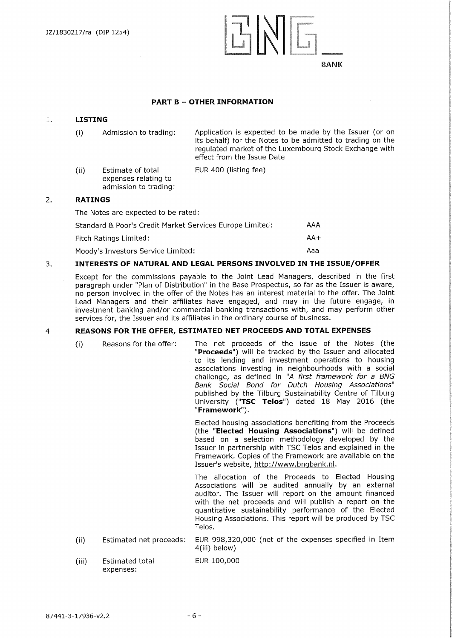**TINIE BANK** 

#### **PART B — OTHER INFORMATION**

#### **1. LISTING**

Admission to trading: Application is expected to be made by the Issuer (or on  $(i)$ its behalf) for the Notes to be admitted to trading on the regulated market of the Luxembourg Stock Exchange with effect from the Issue Date ting fee)

| (ii) | Estimate of total     | <b>EUR 400 (lis</b> |
|------|-----------------------|---------------------|
|      | expenses relating to  |                     |
|      | admission to trading: |                     |

#### **2. RATINGS**

The Notes are expected to be rated:

| Standard & Poor's Credit Market Services Europe Limited: | AAA   |
|----------------------------------------------------------|-------|
| Fitch Ratings Limited:                                   | $AA+$ |
| Moody's Investors Service Limited:                       | Aaa   |

#### **3. INTERESTS OF NATURAL AND LEGAL PERSONS INVOLVED IN THE ISSUE/OFFER**

Except for the commissions payable to the Joint Lead Managers, described in the first paragraph under "Plan of Distribution" in the Base Prospectus, so far as the Issuer is aware, no person involved in the offer of the Notes has an interest material to the offer. The Joint Lead Managers and their affiliates have engaged, and may in the future engage, in investment banking and/or commercial banking transactions with, and may perform other services for, the Issuer and its affiliates in the ordinary course of business.

#### 4 **REASONS FOR THE OFFER, ESTIMATED NET PROCEEDS AND TOTAL EXPENSES**

Reasons for the offer: The net proceeds of the issue of the Notes (the  $(i)$ **"Proceeds")** will be tracked by the Issuer and allocated to its lending and investment operations to housing associations investing in neighbourhoods with a social challenge, as defined in *"A first framework for a BNG Bank Social Bond for Dutch Housing Associations"*  published by the Tilburg Sustainability Centre of Tilburg University **("TSC Telos")** dated 18 May 2016 (the **"Framework").**  Elected housing associations benefiting from the Proceeds

(the **"Elected Housing Associations")** will be defined based on a selection methodology developed by the Issuer in partnership with TSC Telos and explained in the Framework. Copies of the Framework are available on the Issuer's website, http://www.bngbank.nl.

The allocation of the Proceeds to Elected Housing Associations will be audited annually by an external auditor. The Issuer will report on the amount financed with the net proceeds and will publish a report on the quantitative sustainability performance of the Elected Housing Associations. This report will be produced by TSC Telos.

- (ii) Estimated net proceeds: EUR 998,320,000 (net of the expenses specified in Item 4(iii) below)
- (iii) Estimated total EUR 100,000 expenses: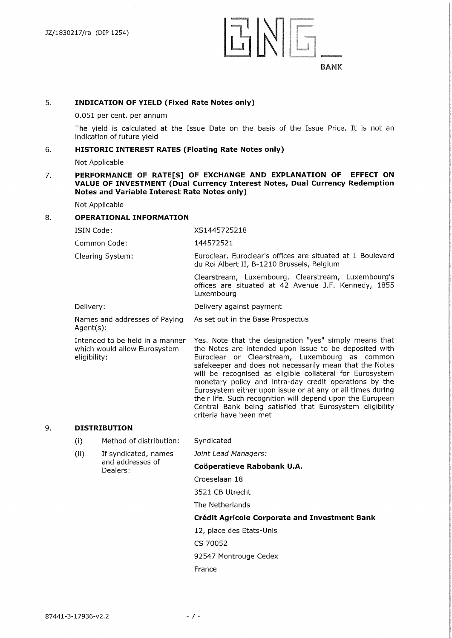

#### **5. INDICATION OF YIELD (Fixed Rate Notes only)**

0.051 per cent. per annum

The yield is calculated at the Issue Date on the basis of the Issue Price. It is not an indication of future yield

#### **6. HISTORIC INTEREST RATES (Floating Rate Notes only)**

Not Applicable

#### **7. PERFORMANCE OF RATE[S] OF EXCHANGE AND EXPLANATION OF EFFECT ON VALUE OF INVESTMENT (Dual Currency Interest Notes, Dual Currency Redemption Notes and Variable Interest Rate Notes only)**

Not Applicable

#### **8. OPERATIONAL INFORMATION**

ISIN Code: XS1445725218

Common Code: 144572521

Clearing System: Euroclear. Euroclear's offices are situated at 1 Boulevard du Roi Albert II, B-1210 Brussels, Belgium

As set out in the Base Prospectus

Clearstream, Luxembourg. Clearstream, Luxembourg's offices are situated at 42 Avenue J.F. Kennedy, 1855 Luxembourg

Delivery: Delivery against payment

Names and addresses of Paying Agent(s):

Intended to be held in a manner which would allow Eurosystem eligibility:

Yes. Note that the designation "yes" simply means that the Notes are intended upon issue to be deposited with Euroclear or Clearstream, Luxembourg as common safekeeper and does not necessarily mean that the Notes will be recognised as eligible collateral for Eurosystem monetary policy and intra-day credit operations by the Eurosystem either upon issue or at any or all times during their life. Such recognition will depend upon the European Central Bank being satisfied that Eurosystem eligibility criteria have been met

#### 9. **DISTRIBUTION**

- $(i)$ Method of distribution: Syndicated
- $(i)$ If syndicated, names and addresses of Dealers:

*Joint Lead Managers:* 

## **Cooperatieve Rabobank U.A.**

Croeselaan 18

3521 CB Utrecht

The Netherlands

#### **Credit Agricole Corporate and Investment Bank**

12, place des Etats-Unis

CS 70052

92547 Montrouge Cedex

France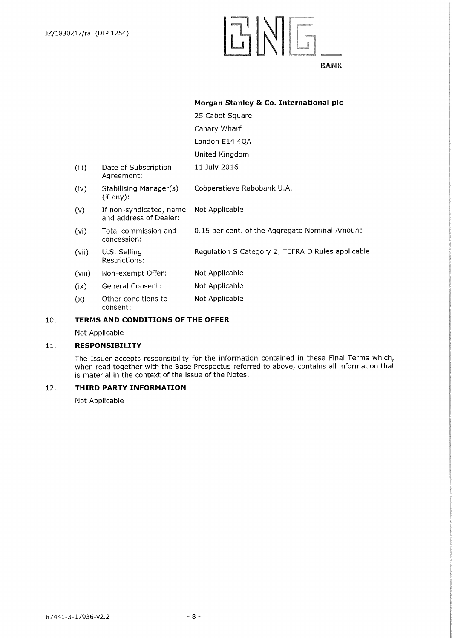$\mathcal{L}_{\mathcal{A}}$ 

# ENE ILaatateeta 100000000

**Morgan Stanley & Co. International plc** 

## **BANK**

|        |                                                   | 25 Cabot Square                                   |
|--------|---------------------------------------------------|---------------------------------------------------|
|        |                                                   | Canary Wharf                                      |
|        |                                                   | London E14 4QA                                    |
|        |                                                   | United Kingdom                                    |
| (iii)  | Date of Subscription<br>Agreement:                | 11 July 2016                                      |
| (iv)   | Stabilising Manager(s)<br>(if any):               | Coöperatieve Rabobank U.A.                        |
| (v)    | If non-syndicated, name<br>and address of Dealer: | Not Applicable                                    |
| (vi)   | Total commission and<br>concession:               | 0.15 per cent. of the Aggregate Nominal Amount    |
| (vii)  | U.S. Selling<br>Restrictions:                     | Regulation S Category 2; TEFRA D Rules applicable |
| (viii) | Non-exempt Offer:                                 | Not Applicable                                    |
| (ix)   | General Consent:                                  | Not Applicable                                    |
| (x)    | Other conditions to<br>consent:                   | Not Applicable                                    |
|        |                                                   |                                                   |

## **10. TERMS AND CONDITIONS OF THE OFFER**

Not Applicable

#### **11. RESPONSIBILITY**

The Issuer accepts responsibility for the information contained in these Final Terms which, when read together with the Base Prospectus referred to above, contains all information that is material in the context of the issue of the Notes.

## **12. THIRD PARTY INFORMATION**

Not Applicable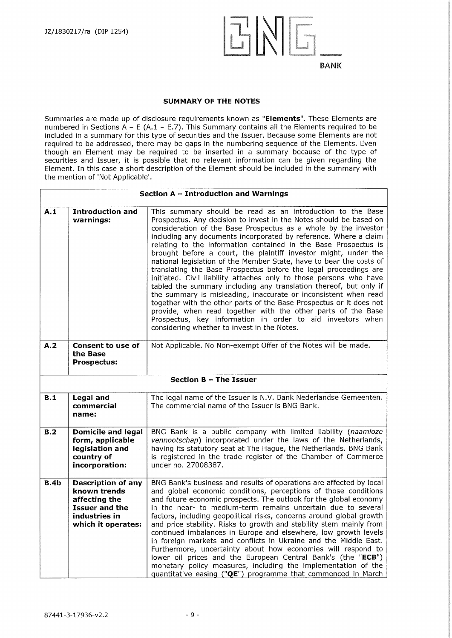

#### **SUMMARY OF THE NOTES**

Summaries are made up of disclosure requirements known as **"Elements".** These Elements are numbered in Sections  $A - E (A.1 - E.7)$ . This Summary contains all the Elements required to be included in a summary for this type of securities and the Issuer. Because some Elements are not required to be addressed, there may be gaps in the numbering sequence of the Elements. Even though an Element may be required to be inserted in a summary because of the type of securities and Issuer, it is possible that no relevant information can be given regarding the Element. In this case a short description of the Element should be included in the summary with the mention of 'Not Applicable'.

|      | Section $A - Introduction$ and Warnings                                                                                    |                                                                                                                                                                                                                                                                                                                                                                                                                                                                                                                                                                                                                                                                                                                                                                                                                                                                                                                                                                                                                            |  |  |
|------|----------------------------------------------------------------------------------------------------------------------------|----------------------------------------------------------------------------------------------------------------------------------------------------------------------------------------------------------------------------------------------------------------------------------------------------------------------------------------------------------------------------------------------------------------------------------------------------------------------------------------------------------------------------------------------------------------------------------------------------------------------------------------------------------------------------------------------------------------------------------------------------------------------------------------------------------------------------------------------------------------------------------------------------------------------------------------------------------------------------------------------------------------------------|--|--|
| A.1  | <b>Introduction and</b><br>warnings:                                                                                       | This summary should be read as an introduction to the Base<br>Prospectus. Any decision to invest in the Notes should be based on<br>consideration of the Base Prospectus as a whole by the investor<br>including any documents incorporated by reference. Where a claim<br>relating to the information contained in the Base Prospectus is<br>brought before a court, the plaintiff investor might, under the<br>national legislation of the Member State, have to bear the costs of<br>translating the Base Prospectus before the legal proceedings are<br>initiated. Civil liability attaches only to those persons who have<br>tabled the summary including any translation thereof, but only if<br>the summary is misleading, inaccurate or inconsistent when read<br>together with the other parts of the Base Prospectus or it does not<br>provide, when read together with the other parts of the Base<br>Prospectus, key information in order to aid investors when<br>considering whether to invest in the Notes. |  |  |
| A.2  | <b>Consent to use of</b><br>the Base<br><b>Prospectus:</b>                                                                 | Not Applicable. No Non-exempt Offer of the Notes will be made.                                                                                                                                                                                                                                                                                                                                                                                                                                                                                                                                                                                                                                                                                                                                                                                                                                                                                                                                                             |  |  |
|      |                                                                                                                            | Section B - The Issuer                                                                                                                                                                                                                                                                                                                                                                                                                                                                                                                                                                                                                                                                                                                                                                                                                                                                                                                                                                                                     |  |  |
| B.1  | <b>Legal and</b><br>commercial<br>name:                                                                                    | The legal name of the Issuer is N.V. Bank Nederlandse Gemeenten.<br>The commercial name of the Issuer is BNG Bank.                                                                                                                                                                                                                                                                                                                                                                                                                                                                                                                                                                                                                                                                                                                                                                                                                                                                                                         |  |  |
| B.2  | <b>Domicile and legal</b><br>form, applicable<br>legislation and<br>country of<br>incorporation:                           | BNG Bank is a public company with limited liability (naamloze<br>vennootschap) incorporated under the laws of the Netherlands,<br>having its statutory seat at The Hague, the Netherlands. BNG Bank<br>is registered in the trade register of the Chamber of Commerce<br>under no. 27008387.                                                                                                                                                                                                                                                                                                                                                                                                                                                                                                                                                                                                                                                                                                                               |  |  |
| B.4b | <b>Description of any</b><br>known trends<br>affecting the<br><b>Issuer and the</b><br>industries in<br>which it operates: | BNG Bank's business and results of operations are affected by local<br>and global economic conditions, perceptions of those conditions<br>and future economic prospects. The outlook for the global economy<br>in the near- to medium-term remains uncertain due to several<br>factors, including geopolitical risks, concerns around global growth<br>and price stability. Risks to growth and stability stem mainly from<br>continued imbalances in Europe and elsewhere, low growth levels<br>in foreign markets and conflicts in Ukraine and the Middle East.<br>Furthermore, uncertainty about how economies will respond to<br>lower oil prices and the European Central Bank's (the "ECB")<br>monetary policy measures, including the implementation of the<br>quantitative easing ("QE") programme that commenced in March                                                                                                                                                                                         |  |  |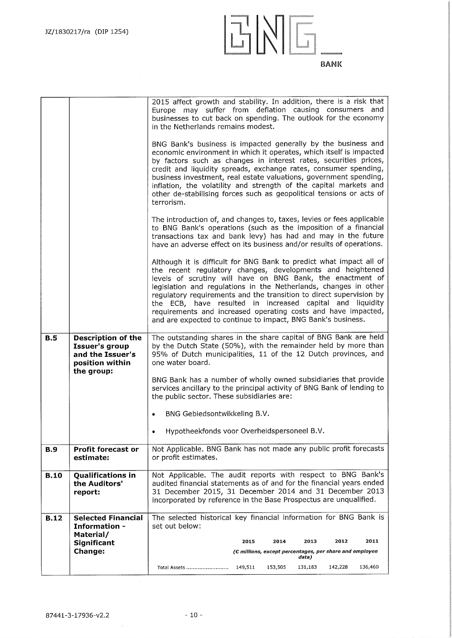| the scott or a covered<br><b>MASSAGE</b><br>REVOLTAGE<br><b>ROCKS</b><br><b>CONTROLLED AND</b> | 000000000000000000000<br>202022-00222-00222-0022<br><b>SUBSCHLIBSONS</b><br>TRIMING COMPANY<br>2002/02/2022<br><b>MANAGEMENT</b><br><u>ka matangan d</u><br><b>Marine Alexandria</b> | <b>Experience of the Constitution of the Constitution</b> |
|------------------------------------------------------------------------------------------------|--------------------------------------------------------------------------------------------------------------------------------------------------------------------------------------|-----------------------------------------------------------|
|                                                                                                |                                                                                                                                                                                      | BANK                                                      |

|             |                                                                                                  | 2015 affect growth and stability. In addition, there is a risk that<br>Europe may suffer from deflation causing consumers and<br>businesses to cut back on spending. The outlook for the economy<br>in the Netherlands remains modest.                                                                                                                                                                                                                                                                                                   |  |  |
|-------------|--------------------------------------------------------------------------------------------------|------------------------------------------------------------------------------------------------------------------------------------------------------------------------------------------------------------------------------------------------------------------------------------------------------------------------------------------------------------------------------------------------------------------------------------------------------------------------------------------------------------------------------------------|--|--|
|             |                                                                                                  | BNG Bank's business is impacted generally by the business and<br>economic environment in which it operates, which itself is impacted<br>by factors such as changes in interest rates, securities prices,<br>credit and liquidity spreads, exchange rates, consumer spending,<br>business investment, real estate valuations, government spending,<br>inflation, the volatility and strength of the capital markets and<br>other de-stabilising forces such as geopolitical tensions or acts of<br>terrorism.                             |  |  |
|             |                                                                                                  | The introduction of, and changes to, taxes, levies or fees applicable<br>to BNG Bank's operations (such as the imposition of a financial<br>transactions tax and bank levy) has had and may in the future<br>have an adverse effect on its business and/or results of operations.                                                                                                                                                                                                                                                        |  |  |
|             |                                                                                                  | Although it is difficult for BNG Bank to predict what impact all of<br>the recent regulatory changes, developments and heightened<br>levels of scrutiny will have on BNG Bank, the enactment of<br>legislation and regulations in the Netherlands, changes in other<br>regulatory requirements and the transition to direct supervision by<br>the ECB, have resulted in increased capital and liquidity<br>requirements and increased operating costs and have impacted,<br>and are expected to continue to impact, BNG Bank's business. |  |  |
| B.5         | Description of the<br><b>Issuer's group</b><br>and the Issuer's<br>position within<br>the group: | The outstanding shares in the share capital of BNG Bank are held<br>by the Dutch State (50%), with the remainder held by more than<br>95% of Dutch municipalities, 11 of the 12 Dutch provinces, and<br>one water board.                                                                                                                                                                                                                                                                                                                 |  |  |
|             |                                                                                                  | BNG Bank has a number of wholly owned subsidiaries that provide<br>services ancillary to the principal activity of BNG Bank of lending to<br>the public sector. These subsidiaries are:                                                                                                                                                                                                                                                                                                                                                  |  |  |
|             |                                                                                                  | BNG Gebiedsontwikkeling B.V.                                                                                                                                                                                                                                                                                                                                                                                                                                                                                                             |  |  |
|             |                                                                                                  | Hypotheekfonds voor Overheidspersoneel B.V.                                                                                                                                                                                                                                                                                                                                                                                                                                                                                              |  |  |
| <b>B.9</b>  | Profit forecast or<br>estimate:                                                                  | Not Applicable. BNG Bank has not made any public profit forecasts<br>or profit estimates.                                                                                                                                                                                                                                                                                                                                                                                                                                                |  |  |
| <b>B.10</b> | Qualifications in<br>the Auditors'<br>report:                                                    | Not Applicable. The audit reports with respect to BNG Bank's<br>audited financial statements as of and for the financial years ended<br>31 December 2015, 31 December 2014 and 31 December 2013<br>incorporated by reference in the Base Prospectus are unqualified.                                                                                                                                                                                                                                                                     |  |  |
| <b>B.12</b> | <b>Selected Financial</b><br><b>Information -</b>                                                | The selected historical key financial information for BNG Bank is<br>set out below:                                                                                                                                                                                                                                                                                                                                                                                                                                                      |  |  |
|             | Material/<br>Significant                                                                         | 2011<br>2013<br>2012<br>2015<br>2014                                                                                                                                                                                                                                                                                                                                                                                                                                                                                                     |  |  |
|             | <b>Change:</b>                                                                                   | (C millions, except percentages, per share and employee<br>data)                                                                                                                                                                                                                                                                                                                                                                                                                                                                         |  |  |
|             |                                                                                                  | 153,505<br>131,183<br>142,228<br>136,460<br>Total Assets<br>149,511                                                                                                                                                                                                                                                                                                                                                                                                                                                                      |  |  |

 $\hat{\mathcal{A}}$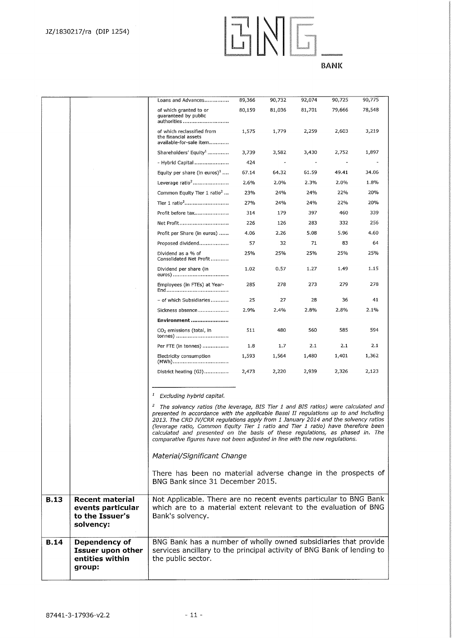

|             |                                                                             | Loans and Advances                                                                                                                                                                                                                                                                                                                                                                                                                                                                                                                    | 89,366 | 90,732 | 92,074 | 90,725 | 90,775 |
|-------------|-----------------------------------------------------------------------------|---------------------------------------------------------------------------------------------------------------------------------------------------------------------------------------------------------------------------------------------------------------------------------------------------------------------------------------------------------------------------------------------------------------------------------------------------------------------------------------------------------------------------------------|--------|--------|--------|--------|--------|
|             |                                                                             | of which granted to or<br>guaranteed by public<br>authorities                                                                                                                                                                                                                                                                                                                                                                                                                                                                         | 80,159 | 81,036 | 81,701 | 79,666 | 78,548 |
|             |                                                                             | of which reclassified from<br>the financial assets<br>available-for-sale item                                                                                                                                                                                                                                                                                                                                                                                                                                                         | 1,575  | 1,779  | 2,259  | 2,603  | 3,219  |
|             |                                                                             | Shareholders' Equity <sup>1</sup>                                                                                                                                                                                                                                                                                                                                                                                                                                                                                                     | 3,739  | 3,582  | 3,430  | 2,752  | 1,897  |
|             |                                                                             | - Hybrid Capital                                                                                                                                                                                                                                                                                                                                                                                                                                                                                                                      | 424    |        |        |        |        |
|             |                                                                             | Equity per share (in euros) <sup>1</sup>                                                                                                                                                                                                                                                                                                                                                                                                                                                                                              | 67.14  | 64.32  | 61.59  | 49.41  | 34.06  |
|             |                                                                             | Leverage ratio <sup>2</sup>                                                                                                                                                                                                                                                                                                                                                                                                                                                                                                           | 2.6%   | 2.0%   | 2.3%   | 2.0%   | 1.8%   |
|             |                                                                             | Common Equity Tier 1 ratio <sup>2</sup>                                                                                                                                                                                                                                                                                                                                                                                                                                                                                               | 23%    | 24%    | 24%    | 22%    | 20%    |
|             |                                                                             |                                                                                                                                                                                                                                                                                                                                                                                                                                                                                                                                       | 27%    | 24%    | 24%    | 22%    | 20%    |
|             |                                                                             | Profit before tax                                                                                                                                                                                                                                                                                                                                                                                                                                                                                                                     | 314    | 179    | 397    | 460    | 339    |
|             |                                                                             | Net Profit                                                                                                                                                                                                                                                                                                                                                                                                                                                                                                                            | 226    | 126    | 283    | 332    | 256    |
|             |                                                                             | Profit per Share (in euros)                                                                                                                                                                                                                                                                                                                                                                                                                                                                                                           | 4.06   | 2.26   | 5.08   | 5.96   | 4.60   |
|             |                                                                             | Proposed dividend                                                                                                                                                                                                                                                                                                                                                                                                                                                                                                                     | 57     | 32     | 71     | 83     | 64     |
|             |                                                                             | Dividend as a % of<br>Consolidated Net Profit                                                                                                                                                                                                                                                                                                                                                                                                                                                                                         | 25%    | 25%    | 25%    | 25%    | 25%    |
|             |                                                                             | Dividend per share (in<br>euros)                                                                                                                                                                                                                                                                                                                                                                                                                                                                                                      | 1.02   | 0.57   | 1.27   | 1.49   | 1.15   |
|             |                                                                             | Employees (in FTEs) at Year-                                                                                                                                                                                                                                                                                                                                                                                                                                                                                                          | 285    | 278    | 273    | 279    | 278    |
|             |                                                                             | - of which Subsidiaries                                                                                                                                                                                                                                                                                                                                                                                                                                                                                                               | 25     | 27     | 28     | 36     | 41     |
|             |                                                                             | Sickness absence                                                                                                                                                                                                                                                                                                                                                                                                                                                                                                                      | 2.9%   | 2.4%   | 2.8%   | 2.8%   | 2.1%   |
|             |                                                                             | Environment                                                                                                                                                                                                                                                                                                                                                                                                                                                                                                                           |        |        |        |        |        |
|             |                                                                             | CO <sub>2</sub> emissions (total, in<br>tonnes)                                                                                                                                                                                                                                                                                                                                                                                                                                                                                       | 511    | 480    | 560    | 585    | 594    |
|             |                                                                             | Per FTE (in tonnes)                                                                                                                                                                                                                                                                                                                                                                                                                                                                                                                   | 1.8    | 1.7    | 2.1    | 2.1    | 2.1    |
|             |                                                                             | Electricity consumption                                                                                                                                                                                                                                                                                                                                                                                                                                                                                                               | 1,593  | 1,564  | 1,480  | 1,401  | 1,362  |
|             |                                                                             | District heating (GJ)                                                                                                                                                                                                                                                                                                                                                                                                                                                                                                                 | 2,473  | 2,220  | 2,939  | 2,326  | 2,123  |
|             |                                                                             | $\mathbf{1}$<br>Excluding hybrid capital.                                                                                                                                                                                                                                                                                                                                                                                                                                                                                             |        |        |        |        |        |
|             |                                                                             | $\mathbf{z}$<br>The solvency ratios (the leverage, BIS Tier 1 and BIS ratios) were calculated and<br>presented in accordance with the applicable Basel II regulations up to and including<br>2013. The CRD IV/CRR regulations apply from 1 January 2014 and the solvency ratios<br>(leverage ratio, Common Equity Tier 1 ratio and Tier 1 ratio) have therefore been<br>calculated and presented on the basis of these regulations, as phased in. The<br>comparative figures have not been adjusted in line with the new regulations. |        |        |        |        |        |
|             |                                                                             | Material/Significant Change                                                                                                                                                                                                                                                                                                                                                                                                                                                                                                           |        |        |        |        |        |
|             |                                                                             | There has been no material adverse change in the prospects of<br>BNG Bank since 31 December 2015.                                                                                                                                                                                                                                                                                                                                                                                                                                     |        |        |        |        |        |
| <b>B.13</b> | <b>Recent material</b><br>events particular<br>to the Issuer's<br>solvency: | Not Applicable. There are no recent events particular to BNG Bank<br>which are to a material extent relevant to the evaluation of BNG<br>Bank's solvency.                                                                                                                                                                                                                                                                                                                                                                             |        |        |        |        |        |
| <b>B.14</b> | Dependency of<br><b>Issuer upon other</b><br>entities within<br>group:      | BNG Bank has a number of wholly owned subsidiaries that provide<br>services ancillary to the principal activity of BNG Bank of lending to<br>the public sector.                                                                                                                                                                                                                                                                                                                                                                       |        |        |        |        |        |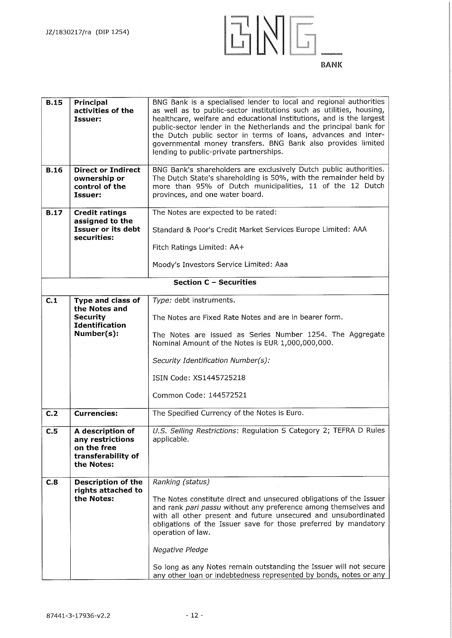

| <b>B.15</b> | Principal<br>activities of the<br>Issuer:                                               | BNG Bank is a specialised lender to local and regional authorities<br>as well as to public-sector institutions such as utilities, housing,<br>healthcare, welfare and educational institutions, and is the largest<br>public-sector lender in the Netherlands and the principal bank for<br>the Dutch public sector in terms of loans, advances and inter-<br>governmental money transfers. BNG Bank also provides limited<br>lending to public-private partnerships.              |
|-------------|-----------------------------------------------------------------------------------------|------------------------------------------------------------------------------------------------------------------------------------------------------------------------------------------------------------------------------------------------------------------------------------------------------------------------------------------------------------------------------------------------------------------------------------------------------------------------------------|
| <b>B.16</b> | <b>Direct or Indirect</b><br>ownership or<br>control of the<br>Issuer:                  | BNG Bank's shareholders are exclusively Dutch public authorities.<br>The Dutch State's shareholding is 50%, with the remainder held by<br>more than 95% of Dutch municipalities, 11 of the 12 Dutch<br>provinces, and one water board.                                                                                                                                                                                                                                             |
| <b>B.17</b> | <b>Credit ratings</b><br>assigned to the                                                | The Notes are expected to be rated:                                                                                                                                                                                                                                                                                                                                                                                                                                                |
|             | <b>Issuer or its debt</b><br>securities:                                                | Standard & Poor's Credit Market Services Europe Limited: AAA                                                                                                                                                                                                                                                                                                                                                                                                                       |
|             |                                                                                         | Fitch Ratings Limited: AA+                                                                                                                                                                                                                                                                                                                                                                                                                                                         |
|             |                                                                                         | Moody's Investors Service Limited: Aaa                                                                                                                                                                                                                                                                                                                                                                                                                                             |
|             |                                                                                         | Section C - Securities                                                                                                                                                                                                                                                                                                                                                                                                                                                             |
| C.1         |                                                                                         |                                                                                                                                                                                                                                                                                                                                                                                                                                                                                    |
|             | Type and class of<br>the Notes and<br><b>Security</b><br><b>Identification</b>          | Type: debt instruments.<br>The Notes are Fixed Rate Notes and are in bearer form.                                                                                                                                                                                                                                                                                                                                                                                                  |
|             | Number(s):                                                                              | The Notes are issued as Series Number 1254. The Aggregate<br>Nominal Amount of the Notes is EUR 1,000,000,000.                                                                                                                                                                                                                                                                                                                                                                     |
|             |                                                                                         | Security Identification Number(s):                                                                                                                                                                                                                                                                                                                                                                                                                                                 |
|             |                                                                                         | ISIN Code: XS1445725218                                                                                                                                                                                                                                                                                                                                                                                                                                                            |
|             |                                                                                         | Common Code: 144572521                                                                                                                                                                                                                                                                                                                                                                                                                                                             |
| C.2         | <b>Currencies:</b>                                                                      | The Specified Currency of the Notes is Euro.                                                                                                                                                                                                                                                                                                                                                                                                                                       |
| C.5         | A description of<br>any restrictions<br>on the free<br>transferability of<br>the Notes: | U.S. Selling Restrictions: Regulation S Category 2; TEFRA D Rules<br>applicable.                                                                                                                                                                                                                                                                                                                                                                                                   |
| C.8         | <b>Description of the</b><br>rights attached to<br>the Notes:                           | Ranking (status)<br>The Notes constitute direct and unsecured obligations of the Issuer<br>and rank pari passu without any preference among themselves and<br>with all other present and future unsecured and unsubordinated<br>obligations of the Issuer save for those preferred by mandatory<br>operation of law.<br>Negative Pledge<br>So long as any Notes remain outstanding the Issuer will not secure<br>any other loan or indebtedness represented by bonds, notes or any |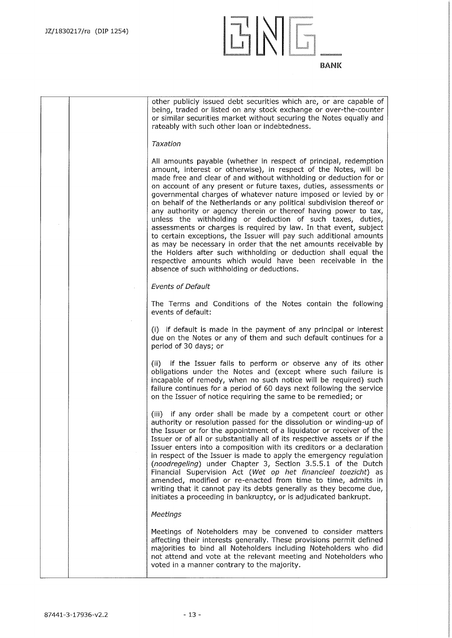

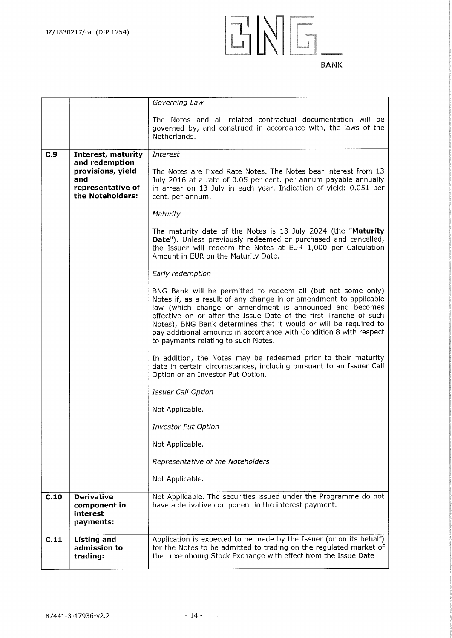

|      |                                                                                     | Governing Law                                                                                                                                                                                                                                                                                                                                                                                                                                      |
|------|-------------------------------------------------------------------------------------|----------------------------------------------------------------------------------------------------------------------------------------------------------------------------------------------------------------------------------------------------------------------------------------------------------------------------------------------------------------------------------------------------------------------------------------------------|
|      |                                                                                     | The Notes and all related contractual documentation will be<br>governed by, and construed in accordance with, the laws of the<br>Netherlands.                                                                                                                                                                                                                                                                                                      |
| C.9  | Interest, maturity                                                                  | Interest                                                                                                                                                                                                                                                                                                                                                                                                                                           |
|      | and redemption<br>provisions, yield<br>and<br>representative of<br>the Noteholders: | The Notes are Fixed Rate Notes. The Notes bear interest from 13<br>July 2016 at a rate of 0.05 per cent. per annum payable annually<br>in arrear on 13 July in each year. Indication of yield: 0.051 per<br>cent. per annum.                                                                                                                                                                                                                       |
|      |                                                                                     | Maturity                                                                                                                                                                                                                                                                                                                                                                                                                                           |
|      |                                                                                     | The maturity date of the Notes is 13 July 2024 (the "Maturity<br>Date"). Unless previously redeemed or purchased and cancelled,<br>the Issuer will redeem the Notes at EUR 1,000 per Calculation<br>Amount in EUR on the Maturity Date.                                                                                                                                                                                                            |
|      |                                                                                     | Early redemption                                                                                                                                                                                                                                                                                                                                                                                                                                   |
|      |                                                                                     | BNG Bank will be permitted to redeem all (but not some only)<br>Notes if, as a result of any change in or amendment to applicable<br>law (which change or amendment is announced and becomes<br>effective on or after the Issue Date of the first Tranche of such<br>Notes), BNG Bank determines that it would or will be required to<br>pay additional amounts in accordance with Condition 8 with respect<br>to payments relating to such Notes. |
|      |                                                                                     | In addition, the Notes may be redeemed prior to their maturity<br>date in certain circumstances, including pursuant to an Issuer Call<br>Option or an Investor Put Option.                                                                                                                                                                                                                                                                         |
|      |                                                                                     | <b>Issuer Call Option</b>                                                                                                                                                                                                                                                                                                                                                                                                                          |
|      |                                                                                     | Not Applicable.                                                                                                                                                                                                                                                                                                                                                                                                                                    |
|      |                                                                                     | <b>Investor Put Option</b>                                                                                                                                                                                                                                                                                                                                                                                                                         |
|      |                                                                                     | Not Applicable.                                                                                                                                                                                                                                                                                                                                                                                                                                    |
|      |                                                                                     | Representative of the Noteholders                                                                                                                                                                                                                                                                                                                                                                                                                  |
|      |                                                                                     | Not Applicable.                                                                                                                                                                                                                                                                                                                                                                                                                                    |
| C.10 | <b>Derivative</b><br>component in<br>interest<br>payments:                          | Not Applicable. The securities issued under the Programme do not<br>have a derivative component in the interest payment.                                                                                                                                                                                                                                                                                                                           |
| C.11 | <b>Listing and</b><br>admission to<br>trading:                                      | Application is expected to be made by the Issuer (or on its behalf)<br>for the Notes to be admitted to trading on the regulated market of<br>the Luxembourg Stock Exchange with effect from the Issue Date                                                                                                                                                                                                                                         |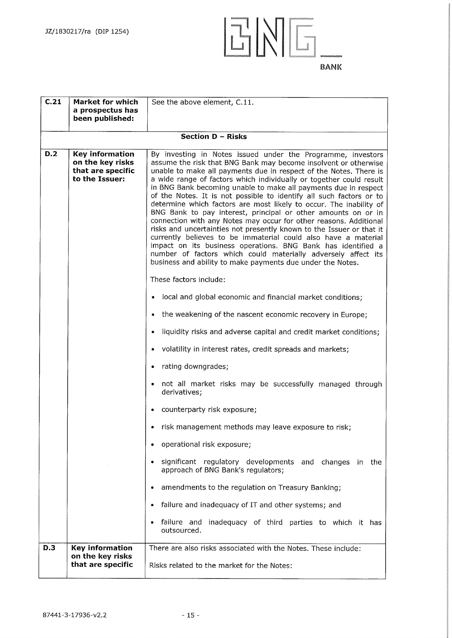**C.21 Market for which** 

**a prospectus has** 



**been published: Section D — Risks D.2 Key information on the key risks that are specific to the Issuer:**  By investing in Notes issued under the Programme, investors assume the risk that BNG Bank may become insolvent or otherwise unable to make all payments due in respect of the Notes. There is a wide range of factors which individually or together could result in BNG Bank becoming unable to make all payments due in respect of the Notes. It is not possible to identify all such factors or to determine which factors are most likely to occur. The inability of BNG Bank to pay interest, principal or other amounts on or in connection with any Notes may occur for other reasons. Additional risks and uncertainties not presently known to the Issuer or that it currently believes to be immaterial could also have a material impact on its business operations. BNG Bank has identified a number of factors which could materially adversely affect its business and ability to make payments due under the Notes. These factors include: • local and global economic and financial market conditions; • the weakening of the nascent economic recovery in Europe; • liquidity risks and adverse capital and credit market conditions; • volatility in interest rates, credit spreads and markets; • rating downgrades; • not all market risks may be successfully managed through derivatives; • counterparty risk exposure; • risk management methods may leave exposure to risk; • operational risk exposure; • significant regulatory developments and changes in the approach of BNG Bank's regulators; amendments to the regulation on Treasury Banking; • failure and inadequacy of IT and other systems; and failure and inadequacy of third parties to which it has outsourced.

See the above element, C.11.

**D.3 Key information on the key risks that are specific**  There are also risks associated with the Notes. These include: Risks related to the market for the Notes: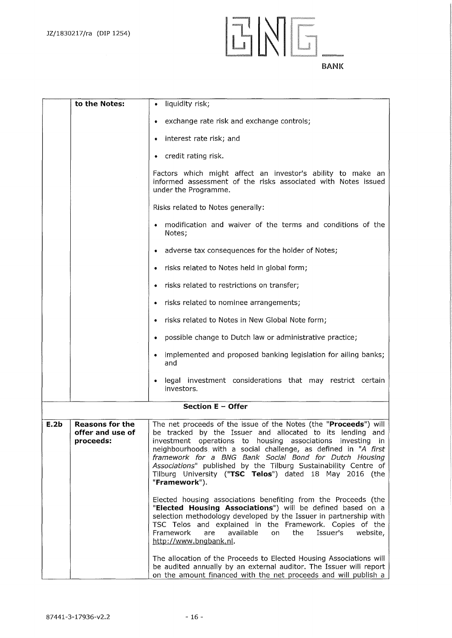

|      | to the Notes:                                           | liquidity risk;<br>٠                                                                                                                                                                                                                                                                                                                                                                                                                                                   |
|------|---------------------------------------------------------|------------------------------------------------------------------------------------------------------------------------------------------------------------------------------------------------------------------------------------------------------------------------------------------------------------------------------------------------------------------------------------------------------------------------------------------------------------------------|
|      |                                                         | exchange rate risk and exchange controls;                                                                                                                                                                                                                                                                                                                                                                                                                              |
|      |                                                         | interest rate risk; and                                                                                                                                                                                                                                                                                                                                                                                                                                                |
|      |                                                         | credit rating risk.<br>۰                                                                                                                                                                                                                                                                                                                                                                                                                                               |
|      |                                                         | Factors which might affect an investor's ability to make an<br>informed assessment of the risks associated with Notes issued<br>under the Programme.                                                                                                                                                                                                                                                                                                                   |
|      |                                                         | Risks related to Notes generally:                                                                                                                                                                                                                                                                                                                                                                                                                                      |
|      |                                                         | modification and waiver of the terms and conditions of the<br>Notes;                                                                                                                                                                                                                                                                                                                                                                                                   |
|      |                                                         | adverse tax consequences for the holder of Notes;                                                                                                                                                                                                                                                                                                                                                                                                                      |
|      |                                                         | risks related to Notes held in global form;                                                                                                                                                                                                                                                                                                                                                                                                                            |
|      |                                                         | risks related to restrictions on transfer;                                                                                                                                                                                                                                                                                                                                                                                                                             |
|      |                                                         | risks related to nominee arrangements;                                                                                                                                                                                                                                                                                                                                                                                                                                 |
|      |                                                         | risks related to Notes in New Global Note form;                                                                                                                                                                                                                                                                                                                                                                                                                        |
|      |                                                         | possible change to Dutch law or administrative practice;                                                                                                                                                                                                                                                                                                                                                                                                               |
|      |                                                         | implemented and proposed banking legislation for ailing banks;<br>and                                                                                                                                                                                                                                                                                                                                                                                                  |
|      |                                                         | legal investment considerations that may restrict certain<br>investors.                                                                                                                                                                                                                                                                                                                                                                                                |
|      |                                                         | Section E - Offer                                                                                                                                                                                                                                                                                                                                                                                                                                                      |
| E.2b | <b>Reasons for the</b><br>offer and use of<br>proceeds: | The net proceeds of the issue of the Notes (the "Proceeds") will<br>be tracked by the Issuer and allocated to its lending and<br>investment operations to housing associations investing in<br>neighbourhoods with a social challenge, as defined in "A first<br>framework for a BNG Bank Social Bond for Dutch Housing<br>Associations" published by the Tilburg Sustainability Centre of<br>Tilburg University ("TSC Telos") dated 18 May 2016 (the<br>"Framework"). |
|      |                                                         | Elected housing associations benefiting from the Proceeds (the<br>"Elected Housing Associations") will be defined based on a<br>selection methodology developed by the Issuer in partnership with<br>TSC Telos and explained in the Framework. Copies of the<br>Framework<br>available<br>Issuer's<br>are<br>the<br>website,<br>on<br>http://www.bngbank.nl.                                                                                                           |
|      |                                                         | The allocation of the Proceeds to Elected Housing Associations will<br>be audited annually by an external auditor. The Issuer will report<br>on the amount financed with the net proceeds and will publish a                                                                                                                                                                                                                                                           |